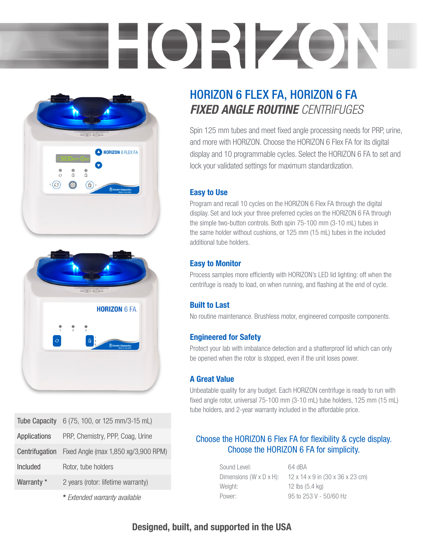# HORIZON





|                | Tube Capacity 6 (75, 100, or 125 mm/3-15 mL) |
|----------------|----------------------------------------------|
| Applications   | PRP, Chemistry, PPP, Coag, Urine             |
| Centrifugation | Fixed Angle (max 1,850 xg/3,900 RPM)         |
| Included       | Rotor, tube holders                          |
| Warranty *     | 2 years (rotor: lifetime warranty)           |
|                |                                              |

\* *Extended warranty available*

# HORIZON 6 FLEX FA, HORIZON 6 FA *FIXED ANGLE ROUTINE CENTRIFUGES*

Spin 125 mm tubes and meet fixed angle processing needs for PRP, urine, and more with HORIZON. Choose the HORIZON 6 Flex FA for its digital display and 10 programmable cycles. Select the HORIZON 6 FA to set and lock your validated settings for maximum standardization.

#### Easy to Use

Program and recall 10 cycles on the HORIZON 6 Flex FA through the digital display. Set and lock your three preferred cycles on the HORIZON 6 FA through the simple two-button controls. Both spin 75-100 mm (3-10 mL) tubes in the same holder without cushions, or 125 mm (15 mL) tubes in the included additional tube holders.

#### Easy to Monitor

Process samples more efficiently with HORIZON's LED lid lighting: off when the centrifuge is ready to load, on when running, and flashing at the end of cycle.

#### Built to Last

No routine maintenance. Brushless motor, engineered composite components.

#### Engineered for Safety

Protect your lab with imbalance detection and a shatterproof lid which can only be opened when the rotor is stopped, even if the unit loses power.

#### A Great Value

Unbeatable quality for any budget. Each HORIZON centrifuge is ready to run with fixed angle rotor, universal 75-100 mm (3-10 mL) tube holders, 125 mm (15 mL) tube holders, and 2-year warranty included in the affordable price.

#### Choose the HORIZON 6 Flex FA for flexibility & cycle display. Choose the HORIZON 6 FA for simplicity.

Sound Level: 64 dBA Weight: 12 lbs (5.4 kg) Power: 95 to 253 V - 50/60 Hz

Dimensions (W x D x H):  $12 \times 14 \times 9$  in (30 x 36 x 23 cm)

### Designed, built, and supported in the USA